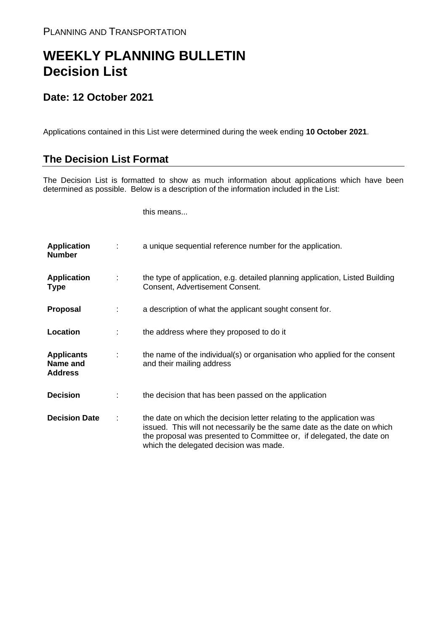## **WEEKLY PLANNING BULLETIN Decision List**

## **Date: 12 October 2021**

Applications contained in this List were determined during the week ending **10 October 2021**.

## **The Decision List Format**

The Decision List is formatted to show as much information about applications which have been determined as possible. Below is a description of the information included in the List:

this means...

| <b>Application</b><br><b>Number</b>             |   | a unique sequential reference number for the application.                                                                                                                                                                                                           |
|-------------------------------------------------|---|---------------------------------------------------------------------------------------------------------------------------------------------------------------------------------------------------------------------------------------------------------------------|
| <b>Application</b><br><b>Type</b>               | ÷ | the type of application, e.g. detailed planning application, Listed Building<br>Consent, Advertisement Consent.                                                                                                                                                     |
| Proposal                                        |   | a description of what the applicant sought consent for.                                                                                                                                                                                                             |
| Location                                        |   | the address where they proposed to do it                                                                                                                                                                                                                            |
| <b>Applicants</b><br>Name and<br><b>Address</b> | ÷ | the name of the individual(s) or organisation who applied for the consent<br>and their mailing address                                                                                                                                                              |
| <b>Decision</b>                                 |   | the decision that has been passed on the application                                                                                                                                                                                                                |
| <b>Decision Date</b>                            | ÷ | the date on which the decision letter relating to the application was<br>issued. This will not necessarily be the same date as the date on which<br>the proposal was presented to Committee or, if delegated, the date on<br>which the delegated decision was made. |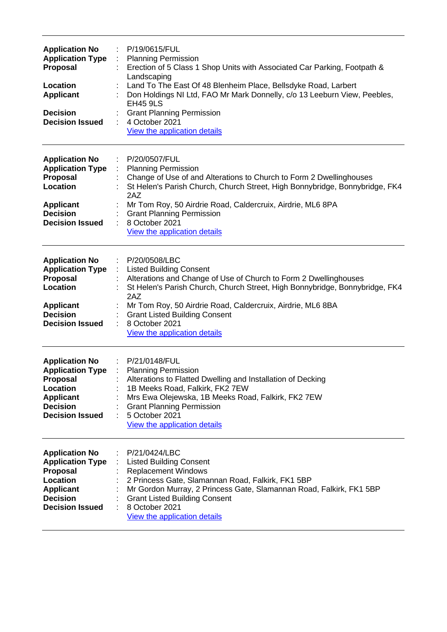| <b>Application No</b><br><b>Application Type</b><br><b>Proposal</b><br>Location<br><b>Applicant</b><br><b>Decision</b><br><b>Decision Issued</b> | P/19/0615/FUL<br><b>Planning Permission</b><br>Erection of 5 Class 1 Shop Units with Associated Car Parking, Footpath &<br>Landscaping<br>Land To The East Of 48 Blenheim Place, Bellsdyke Road, Larbert<br>Don Holdings NI Ltd, FAO Mr Mark Donnelly, c/o 13 Leeburn View, Peebles,<br><b>EH45 9LS</b><br><b>Grant Planning Permission</b><br>4 October 2021<br>View the application details |
|--------------------------------------------------------------------------------------------------------------------------------------------------|-----------------------------------------------------------------------------------------------------------------------------------------------------------------------------------------------------------------------------------------------------------------------------------------------------------------------------------------------------------------------------------------------|
| <b>Application No</b><br><b>Application Type</b><br>Proposal<br>Location<br><b>Applicant</b><br><b>Decision</b><br><b>Decision Issued</b>        | P/20/0507/FUL<br><b>Planning Permission</b><br>Change of Use of and Alterations to Church to Form 2 Dwellinghouses<br>St Helen's Parish Church, Church Street, High Bonnybridge, Bonnybridge, FK4<br>2AZ<br>Mr Tom Roy, 50 Airdrie Road, Caldercruix, Airdrie, ML6 8PA<br><b>Grant Planning Permission</b><br>8 October 2021<br>View the application details                                  |
| <b>Application No</b><br><b>Application Type</b><br>Proposal<br>Location<br><b>Applicant</b><br><b>Decision</b><br><b>Decision Issued</b>        | P/20/0508/LBC<br>÷<br><b>Listed Building Consent</b><br>Alterations and Change of Use of Church to Form 2 Dwellinghouses<br>St Helen's Parish Church, Church Street, High Bonnybridge, Bonnybridge, FK4<br>2AZ<br>Mr Tom Roy, 50 Airdrie Road, Caldercruix, Airdrie, ML6 8BA<br><b>Grant Listed Building Consent</b><br>8 October 2021<br>View the application details                        |
| <b>Application No</b><br><b>Application Type</b><br>Proposal<br>Location<br><b>Applicant</b><br><b>Decision</b><br><b>Decision Issued</b>        | P/21/0148/FUL<br><b>Planning Permission</b><br>Alterations to Flatted Dwelling and Installation of Decking<br>1B Meeks Road, Falkirk, FK2 7EW<br>Mrs Ewa Olejewska, 1B Meeks Road, Falkirk, FK2 7EW<br><b>Grant Planning Permission</b><br>5 October 2021<br>View the application details                                                                                                     |
| <b>Application No</b><br><b>Application Type</b><br>Proposal<br>Location<br><b>Applicant</b><br><b>Decision</b><br><b>Decision Issued</b>        | P/21/0424/LBC<br><b>Listed Building Consent</b><br><b>Replacement Windows</b><br>2 Princess Gate, Slamannan Road, Falkirk, FK1 5BP<br>Mr Gordon Murray, 2 Princess Gate, Slamannan Road, Falkirk, FK1 5BP<br><b>Grant Listed Building Consent</b><br>8 October 2021<br>View the application details                                                                                           |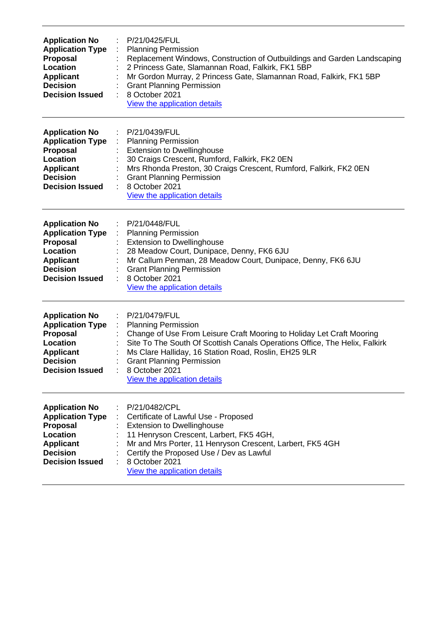| <b>Application No</b><br><b>Application Type</b><br><b>Proposal</b><br>Location<br><b>Applicant</b><br><b>Decision</b><br><b>Decision Issued</b> | P/21/0425/FUL<br><b>Planning Permission</b><br>Replacement Windows, Construction of Outbuildings and Garden Landscaping<br>2 Princess Gate, Slamannan Road, Falkirk, FK1 5BP<br>Mr Gordon Murray, 2 Princess Gate, Slamannan Road, Falkirk, FK1 5BP<br><b>Grant Planning Permission</b><br>8 October 2021<br>View the application details        |
|--------------------------------------------------------------------------------------------------------------------------------------------------|--------------------------------------------------------------------------------------------------------------------------------------------------------------------------------------------------------------------------------------------------------------------------------------------------------------------------------------------------|
| <b>Application No</b><br><b>Application Type</b><br>Proposal<br>Location<br><b>Applicant</b><br><b>Decision</b><br><b>Decision Issued</b>        | P/21/0439/FUL<br>÷<br><b>Planning Permission</b><br><b>Extension to Dwellinghouse</b><br>30 Craigs Crescent, Rumford, Falkirk, FK2 0EN<br>Mrs Rhonda Preston, 30 Craigs Crescent, Rumford, Falkirk, FK2 0EN<br><b>Grant Planning Permission</b><br>8 October 2021<br>View the application details                                                |
| <b>Application No</b><br><b>Application Type</b><br>Proposal<br>Location<br><b>Applicant</b><br><b>Decision</b><br><b>Decision Issued</b>        | P/21/0448/FUL<br><b>Planning Permission</b><br><b>Extension to Dwellinghouse</b><br>28 Meadow Court, Dunipace, Denny, FK6 6JU<br>Mr Callum Penman, 28 Meadow Court, Dunipace, Denny, FK6 6JU<br><b>Grant Planning Permission</b><br>8 October 2021<br>View the application details                                                               |
| <b>Application No</b><br><b>Application Type</b><br><b>Proposal</b><br>Location<br><b>Applicant</b><br><b>Decision</b><br><b>Decision Issued</b> | P/21/0479/FUL<br><b>Planning Permission</b><br>Change of Use From Leisure Craft Mooring to Holiday Let Craft Mooring<br>Site To The South Of Scottish Canals Operations Office, The Helix, Falkirk<br>Ms Clare Halliday, 16 Station Road, Roslin, EH25 9LR<br><b>Grant Planning Permission</b><br>8 October 2021<br>View the application details |
| <b>Application No</b><br><b>Application Type</b><br>Proposal<br>Location<br><b>Applicant</b><br><b>Decision</b><br><b>Decision Issued</b>        | P/21/0482/CPL<br>Certificate of Lawful Use - Proposed<br><b>Extension to Dwellinghouse</b><br>11 Henryson Crescent, Larbert, FK5 4GH,<br>Mr and Mrs Porter, 11 Henryson Crescent, Larbert, FK5 4GH<br>Certify the Proposed Use / Dev as Lawful<br>8 October 2021<br>View the application details                                                 |